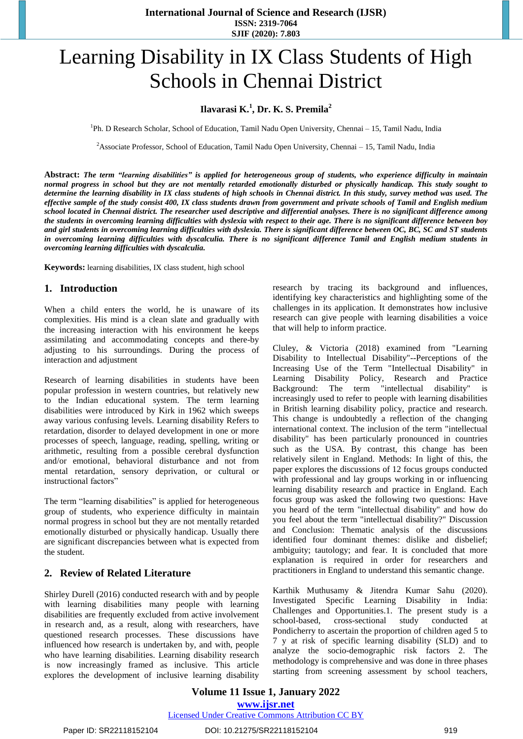**International Journal of Science and Research (IJSR) ISSN: 2319-7064 SJIF (2020): 7.803**

# Learning Disability in IX Class Students of High Schools in Chennai District

## **Ilavarasi K.<sup>1</sup> , Dr. K. S. Premila<sup>2</sup>**

<sup>1</sup>Ph. D Research Scholar, School of Education, Tamil Nadu Open University, Chennai - 15, Tamil Nadu, India

<sup>2</sup>Associate Professor, School of Education, Tamil Nadu Open University, Chennai – 15, Tamil Nadu, India

Abstract: The term "learning disabilities" is applied for heterogeneous group of students, who experience difficulty in maintain normal progress in school but they are not mentally retarded emotionally disturbed or physically handicap. This study sought to determine the learning disability in IX class students of high schools in Chennai district. In this study, survey method was used. The effective sample of the study consist 400, IX class students drawn from government and private schools of Tamil and English medium school located in Chennai district. The researcher used descriptive and differential analyses. There is no significant difference among the students in overcoming learning difficulties with dyslexia with respect to their age. There is no significant difference between boy and girl students in overcoming learning difficulties with dyslexia. There is significant difference between OC, BC, SC and ST students in overcoming learning difficulties with dyscalculia. There is no significant difference Tamil and English medium students in *overcoming learning difficulties with dyscalculia.* 

**Keywords:** learning disabilities, IX class student, high school

## **1. Introduction**

When a child enters the world, he is unaware of its complexities. His mind is a clean slate and gradually with the increasing interaction with his environment he keeps assimilating and accommodating concepts and there-by adjusting to his surroundings. During the process of interaction and adjustment

Research of learning disabilities in students have been popular profession in western countries, but relatively new to the Indian educational system. The term learning disabilities were introduced by Kirk in 1962 which sweeps away various confusing levels. Learning disability Refers to retardation, disorder to delayed development in one or more processes of speech, language, reading, spelling, writing or arithmetic, resulting from a possible cerebral dysfunction and/or emotional, behavioral disturbance and not from mental retardation, sensory deprivation, or cultural or instructional factors"

The term "learning disabilities" is applied for heterogeneous group of students, who experience difficulty in maintain normal progress in school but they are not mentally retarded emotionally disturbed or physically handicap. Usually there are significant discrepancies between what is expected from the student.

## **2. Review of Related Literature**

[Shirley](https://pubmed.ncbi.nlm.nih.gov/?term=Durell+S&cauthor_id=27017650) Durell (2016) conducted research with and by people with learning disabilities many people with learning disabilities are frequently excluded from active involvement in research and, as a result, along with researchers, have questioned research processes. These discussions have influenced how research is undertaken by, and with, people who have learning disabilities. Learning disability research is now increasingly framed as inclusive. This article explores the development of inclusive learning disability research by tracing its background and influences, identifying key characteristics and highlighting some of the challenges in its application. It demonstrates how inclusive research can give people with learning disabilities a voice that will help to inform practice.

[Cluley, &](https://eric.ed.gov/?redir=http%3a%2f%2forcid.org%2f0000-0003-3258-3039) Victoria (2018) examined from "Learning Disability to Intellectual Disability"--Perceptions of the Increasing Use of the Term "Intellectual Disability" in Learning Disability Policy, Research and Practice Background: The term "intellectual disability" is increasingly used to refer to people with learning disabilities in British learning disability policy, practice and research. This change is undoubtedly a reflection of the changing international context. The inclusion of the term "intellectual disability" has been particularly pronounced in countries such as the USA. By contrast, this change has been relatively silent in England. Methods: In light of this, the paper explores the discussions of 12 focus groups conducted with professional and lay groups working in or influencing learning disability research and practice in England. Each focus group was asked the following two questions: Have you heard of the term "intellectual disability" and how do you feel about the term "intellectual disability?" Discussion and Conclusion: Thematic analysis of the discussions identified four dominant themes: dislike and disbelief; ambiguity; tautology; and fear. It is concluded that more explanation is required in order for researchers and practitioners in England to understand this semantic change.

Karthik Muthusamy & Jitendra Kumar Sahu (2020). Investigated Specific Learning Disability in India: Challenges and Opportunities.1. The present study is a school-based, cross-sectional study conducted at Pondicherry to ascertain the proportion of children aged 5 to 7 y at risk of specific learning disability (SLD) and to analyze the socio-demographic risk factors 2. The methodology is comprehensive and was done in three phases starting from screening assessment by school teachers,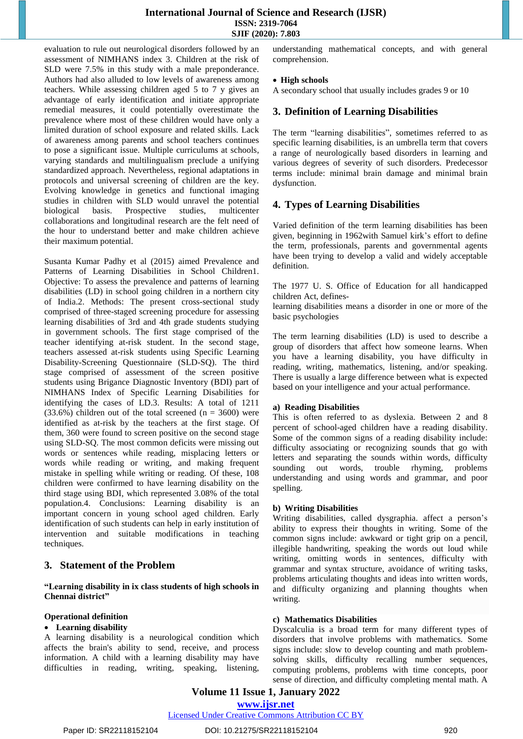## **International Journal of Science and Research (IJSR) ISSN: 2319-7064 SJIF (2020): 7.803**

evaluation to rule out neurological disorders followed by an assessment of NIMHANS index 3. Children at the risk of SLD were 7.5% in this study with a male preponderance. Authors had also alluded to low levels of awareness among teachers. While assessing children aged 5 to 7 y gives an advantage of early identification and initiate appropriate remedial measures, it could potentially overestimate the prevalence where most of these children would have only a limited duration of school exposure and related skills. Lack of awareness among parents and school teachers continues to pose a significant issue. Multiple curriculums at schools, varying standards and multilingualism preclude a unifying standardized approach. Nevertheless, regional adaptations in protocols and universal screening of children are the key. Evolving knowledge in genetics and functional imaging studies in children with SLD would unravel the potential biological basis. Prospective studies, multicenter collaborations and longitudinal research are the felt need of the hour to understand better and make children achieve their maximum potential.

[Susanta](https://pubmed.ncbi.nlm.nih.gov/?term=Padhy+SK&cauthor_id=26334861) Kumar Padhy et al (2015) aimed Prevalence and Patterns of Learning Disabilities in School Children1. Objective: To assess the prevalence and patterns of learning disabilities (LD) in school going children in a northern city of India.2. Methods: The present cross-sectional study comprised of three-staged screening procedure for assessing learning disabilities of 3rd and 4th grade students studying in government schools. The first stage comprised of the teacher identifying at-risk student. In the second stage, teachers assessed at-risk students using Specific Learning Disability-Screening Questionnaire (SLD-SQ). The third stage comprised of assessment of the screen positive students using Brigance Diagnostic Inventory (BDI) part of NIMHANS Index of Specific Learning Disabilities for identifying the cases of LD.3. Results: A total of 1211  $(33.6%)$  children out of the total screened  $(n = 3600)$  were identified as at-risk by the teachers at the first stage. Of them, 360 were found to screen positive on the second stage using SLD-SQ. The most common deficits were missing out words or sentences while reading, misplacing letters or words while reading or writing, and making frequent mistake in spelling while writing or reading. Of these, 108 children were confirmed to have learning disability on the third stage using BDI, which represented 3.08% of the total population.4. Conclusions: Learning disability is an important concern in young school aged children. Early identification of such students can help in early institution of intervention and suitable modifications in teaching techniques.

## **3. Statement of the Problem**

#### **"Learning disability in ix class students of high schools in Chennai district"**

## **Operational definition**

#### **Learning disability**

A learning disability is a neurological condition which affects the brain's ability to send, receive, and process information. A child with a learning disability may have difficulties in reading, writing, speaking, listening, understanding mathematical concepts, and with general comprehension.

#### **High schools**

A secondary school that usually includes grades 9 or 10

## **3. Definition of Learning Disabilities**

The term "learning disabilities", sometimes referred to as specific learning disabilities, is an umbrella term that covers a range of neurologically based disorders in learning and various degrees of severity of such disorders. Predecessor terms include: minimal brain damage and minimal brain dysfunction.

## **4. [Types of Learning Disabilities](http://ldapei.ca/types-of-learning-disabilities.html)**

Varied definition of the term learning disabilities has been given, beginning in 1962with Samuel kirk's effort to define the term, professionals, parents and governmental agents have been trying to develop a valid and widely acceptable definition.

The 1977 U. S. Office of Education for all handicapped children Act, defines-

learning disabilities means a disorder in one or more of the basic psychologies

The term learning disabilities (LD) is used to describe a group of disorders that affect how someone learns. When you have a learning disability, you have difficulty in reading, writing, mathematics, listening, and/or speaking. There is usually a large difference between what is expected based on your intelligence and your actual performance.

#### **a) Reading Disabilities**

This is often referred to as [dyslexia.](https://www.additudemag.com/what-is-dyslexia-symptom-overview-and-diagnosis-tips/) Between 2 and 8 percent of school-aged children have a reading disability. Some of the common signs of a reading disability include: difficulty associating or recognizing sounds that go with letters and separating the sounds within words, difficulty sounding out words, trouble rhyming, problems understanding and using words and grammar, and poor spelling.

#### **b) Writing Disabilities**

Writing disabilities, called dysgraphia. affect a person's ability to express their thoughts in writing. Some of the common signs include: awkward or tight grip on a pencil, illegible handwriting, speaking the words out loud while writing, omitting words in sentences, difficulty with grammar and syntax structure, avoidance of writing tasks, problems articulating thoughts and ideas into written words, and difficulty organizing and planning thoughts when writing.

#### **c) Mathematics Disabilities**

Dyscalculia is a broad term for many different types of disorders that involve problems with mathematics. Some signs include: slow to develop counting and math problemsolving skills, difficulty recalling number sequences, computing problems, problems with time concepts, poor sense of direction, and difficulty completing mental math. A

**Volume 11 Issue 1, January 2022 www.ijsr.net**

Licensed Under Creative Commons Attribution CC BY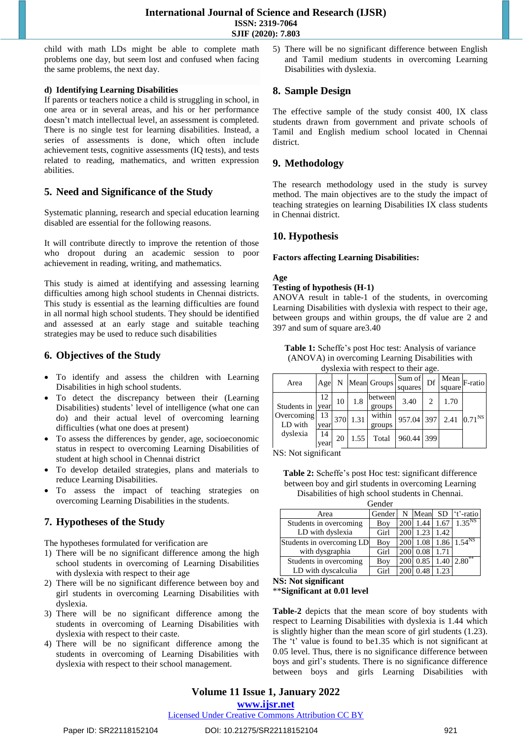child with math LDs might be able to complete math problems one day, but seem lost and confused when facing the same problems, the next day.

## **d) Identifying Learning Disabilities**

If parents or teachers notice a child is struggling in school, in one area or in several areas, and his or her performance doesn't match intellectual level, an assessment is completed. There is no single test for learning disabilities. Instead, a series of assessments is done, which often include achievement tests, cognitive assessments (IQ tests), and tests related to reading, mathematics, and written expression abilities.

## **5. Need and Significance of the Study**

Systematic planning, research and special education learning disabled are essential for the following reasons.

It will contribute directly to improve the retention of those who dropout during an academic session to poor achievement in reading, writing, and mathematics.

This study is aimed at identifying and assessing learning difficulties among high school students in Chennai districts. This study is essential as the learning difficulties are found in all normal high school students. They should be identified and assessed at an early stage and suitable teaching strategies may be used to reduce such disabilities

# **6. Objectives of the Study**

- To identify and assess the children with Learning Disabilities in high school students.
- To detect the discrepancy between their (Learning Disabilities) students' level of intelligence (what one can do) and their actual level of overcoming learning difficulties (what one does at present)
- To assess the differences by gender, age, socioeconomic status in respect to overcoming Learning Disabilities of student at high school in Chennai district
- To develop detailed strategies, plans and materials to reduce Learning Disabilities.
- To assess the impact of teaching strategies on overcoming Learning Disabilities in the students.

# **7. Hypotheses of the Study**

The hypotheses formulated for verification are

- 1) There will be no significant difference among the high school students in overcoming of Learning Disabilities with dyslexia with respect to their age
- 2) There will be no significant difference between boy and girl students in overcoming Learning Disabilities with dyslexia.
- 3) There will be no significant difference among the students in overcoming of Learning Disabilities with dyslexia with respect to their caste.
- 4) There will be no significant difference among the students in overcoming of Learning Disabilities with dyslexia with respect to their school management.

5) There will be no significant difference between English and Tamil medium students in overcoming Learning Disabilities with dyslexia.

## **8. Sample Design**

The effective sample of the study consist 400, IX class students drawn from government and private schools of Tamil and English medium school located in Chennai district.

# **9. Methodology**

The research methodology used in the study is survey method. The main objectives are to the study the impact of teaching strategies on learning Disabilities IX class students in Chennai district.

# **10. Hypothesis**

## **Factors affecting Learning Disabilities:**

## **Age**

#### **Testing of hypothesis (H-1)**

ANOVA result in table-1 of the students, in overcoming Learning Disabilities with dyslexia with respect to their age, between groups and within groups, the df value are 2 and 397 and sum of square are3.40

**Table 1:** Scheffe's post Hoc test: Analysis of variance (ANOVA) in overcoming Learning Disabilities with dyslexia with respect to their age.

| Area                  | Age        | Ν   |      | Mean Groups       | Sum of<br>squares | Df | Mean<br>square | F-ratio                   |
|-----------------------|------------|-----|------|-------------------|-------------------|----|----------------|---------------------------|
| Students in year      | 12         | 10  | 1.8  | between<br>groups | 3.40              |    | 1.70           |                           |
| Overcoming<br>LD with | 13<br>year | 370 | 1.31 | within<br>groups  | 957.04 397        |    |                | 2.41 $ 0.71^{\text{NS}} $ |
| dyslexia              | 14<br>year | 20  | 1.55 | Total             | 960.44 399        |    |                |                           |

NS: Not significant

**Table 2:** Scheffe's post Hoc test: significant difference between boy and girl students in overcoming Learning Disabilities of high school students in Chennai. Gender

| ochuci                    |        |            |          |      |                       |  |  |
|---------------------------|--------|------------|----------|------|-----------------------|--|--|
| Area                      | Gender | N          |          |      | Mean SD 't'-ratio     |  |  |
| Students in overcoming    | Boy    | <b>200</b> | 1.44     | 1.67 | $1.35^{NS}$           |  |  |
| LD with dyslexia          | Girl   | 200        | 1.23     | 1.42 |                       |  |  |
| Students in overcoming LD | Boy    | <b>200</b> | 1.08     |      | $1.86 \mid 1.54^{NS}$ |  |  |
| with dysgraphia           | Girl   |            | 200 0.08 | 1.71 |                       |  |  |
| Students in overcoming    | Boy    |            | 200 0.85 | 1.40 | $2.80^{**}$           |  |  |
| LD with dyscalculia       | Girl   | <b>200</b> | 0.48     | 1.23 |                       |  |  |

**NS: Not significant**

\*\***Significant at 0.01 level**

**Table-2** depicts that the mean score of boy students with respect to Learning Disabilities with dyslexia is 1.44 which is slightly higher than the mean score of girl students (1.23). The 't' value is found to be1.35 which is not significant at 0.05 level. Thus, there is no significance difference between boys and girl's students. There is no significance difference between boys and girls Learning Disabilities with

# **Volume 11 Issue 1, January 2022**

**www.ijsr.net**

Licensed Under Creative Commons Attribution CC BY